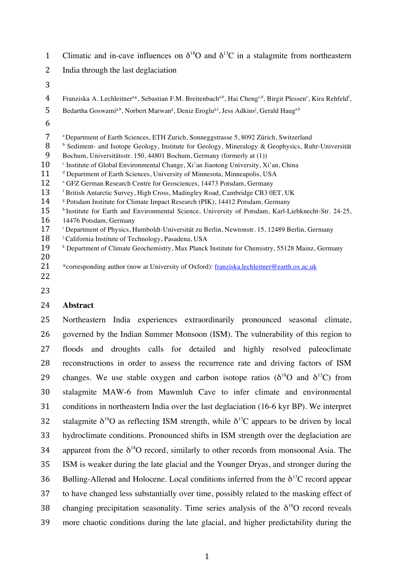| Climatic and in-cave influences on $\delta^{18}O$ and $\delta^{13}C$ in a stalagmite from northeastern |  |
|--------------------------------------------------------------------------------------------------------|--|
|--------------------------------------------------------------------------------------------------------|--|

- 2 India through the last deglaciation
- 3
- 4 Franziska A. Lechleitner<sup>a\*</sup>, Sebastian F.M. Breitenbach<sup>a,b</sup>, Hai Cheng<sup>c,d</sup>, Birgit Plessen<sup>e</sup>, Kira Rehfeld<sup>f</sup>,
- 5 Bedartha Goswami<sup>g,h</sup>, Norbert Marwan<sup>g</sup>, Deniz Eroglu<sup>g,i</sup>, Jess Adkins<sup>j</sup>, Gerald Haug<sup>a,k</sup>
- 6

|  | <sup>a</sup> Department of Earth Sciences, ETH Zurich, Sonneggstrasse 5, 8092 Zürich, Switzerland |
|--|---------------------------------------------------------------------------------------------------|
|  |                                                                                                   |

- 8 b Sediment- and Isotope Geology, Institute for Geology, Mineralogy & Geophysics, Ruhr-Universität
- 9 Bochum, Universitätsstr. 150, 44801 Bochum, Germany (formerly at (1))
- 10 <sup>c</sup> Institute of Global Environmental Change, Xi'an Jiaotong University, Xi'an, China
- 11 <sup>d</sup> Department of Earth Sciences, University of Minnesota, Minneapolis, USA
- 12 GFZ German Research Centre for Geosciences, 14473 Potsdam, Germany
- 13 f British Antarctic Survey, High Cross, Madingley Road, Cambridge CB3 0ET, UK
- 14 <sup>8</sup> Potsdam Institute for Climate Impact Research (PIK), 14412 Potsdam, Germany
- 15 **h** Institute for Earth and Environmental Science, University of Potsdam, Karl-Liebknecht-Str. 24-25, 16 14476 Potsdam, Germany
- 
- 17 <sup>i</sup> Department of Physics, Humboldt-Universität zu Berlin, Newtonstr. 15, 12489 Berlin, Germany
- 18 <sup>j</sup> California Institute of Technology, Pasadena, USA
- 19 **Example 2** Department of Climate Geochemistry, Max Planck Institute for Chemistry, 55128 Mainz, Germany
- 20
- 21 \* corresponding author (now at University of Oxford): franziska.lechleitner@earth.ox.ac.uk
- 22
- 23

# 24 **Abstract**

 Northeastern India experiences extraordinarily pronounced seasonal climate, governed by the Indian Summer Monsoon (ISM). The vulnerability of this region to floods and droughts calls for detailed and highly resolved paleoclimate reconstructions in order to assess the recurrence rate and driving factors of ISM 29 changes. We use stable oxygen and carbon isotope ratios ( $\delta^{18}$ O and  $\delta^{13}$ C) from stalagmite MAW-6 from Mawmluh Cave to infer climate and environmental conditions in northeastern India over the last deglaciation (16-6 kyr BP). We interpret 32 stalagmite  $\delta^{18}$ O as reflecting ISM strength, while  $\delta^{13}$ C appears to be driven by local hydroclimate conditions. Pronounced shifts in ISM strength over the deglaciation are 34 apparent from the  $\delta^{18}O$  record, similarly to other records from monsoonal Asia. The ISM is weaker during the late glacial and the Younger Dryas, and stronger during the 36 Bølling-Allerød and Holocene. Local conditions inferred from the  $\delta^{13}$ C record appear to have changed less substantially over time, possibly related to the masking effect of 38 changing precipitation seasonality. Time series analysis of the  $\delta^{18}O$  record reveals more chaotic conditions during the late glacial, and higher predictability during the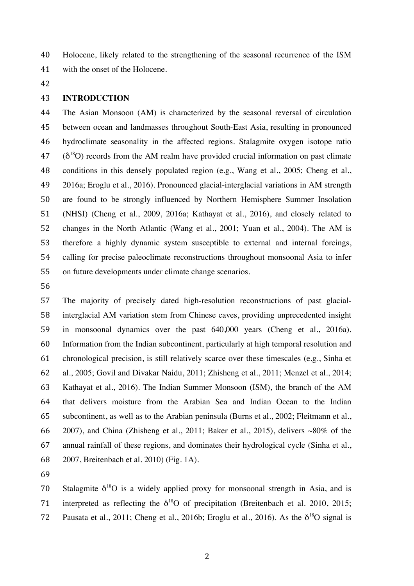Holocene, likely related to the strengthening of the seasonal recurrence of the ISM with the onset of the Holocene.

# **INTRODUCTION**

 The Asian Monsoon (AM) is characterized by the seasonal reversal of circulation between ocean and landmasses throughout South-East Asia, resulting in pronounced hydroclimate seasonality in the affected regions. Stalagmite oxygen isotope ratio  $(3^{18}O)$  records from the AM realm have provided crucial information on past climate conditions in this densely populated region (e.g., Wang et al., 2005; Cheng et al., 2016a; Eroglu et al., 2016). Pronounced glacial-interglacial variations in AM strength are found to be strongly influenced by Northern Hemisphere Summer Insolation (NHSI) (Cheng et al., 2009, 2016a; Kathayat et al., 2016), and closely related to changes in the North Atlantic (Wang et al., 2001; Yuan et al., 2004). The AM is therefore a highly dynamic system susceptible to external and internal forcings, calling for precise paleoclimate reconstructions throughout monsoonal Asia to infer on future developments under climate change scenarios.

 The majority of precisely dated high-resolution reconstructions of past glacial- interglacial AM variation stem from Chinese caves, providing unprecedented insight in monsoonal dynamics over the past 640,000 years (Cheng et al., 2016a). Information from the Indian subcontinent, particularly at high temporal resolution and chronological precision, is still relatively scarce over these timescales (e.g., Sinha et al., 2005; Govil and Divakar Naidu, 2011; Zhisheng et al., 2011; Menzel et al., 2014; Kathayat et al., 2016). The Indian Summer Monsoon (ISM), the branch of the AM that delivers moisture from the Arabian Sea and Indian Ocean to the Indian subcontinent, as well as to the Arabian peninsula (Burns et al., 2002; Fleitmann et al., 66 2007), and China (Zhisheng et al., 2011; Baker et al., 2015), delivers  $\sim80\%$  of the annual rainfall of these regions, and dominates their hydrological cycle (Sinha et al., 2007, Breitenbach et al. 2010) (Fig. 1A).

70 Stalagmite  $\delta^{18}O$  is a widely applied proxy for monsoonal strength in Asia, and is 71 interpreted as reflecting the  $\delta^{18}O$  of precipitation (Breitenbach et al. 2010, 2015; 72 Pausata et al., 2011; Cheng et al., 2016b; Eroglu et al., 2016). As the  $\delta^{18}O$  signal is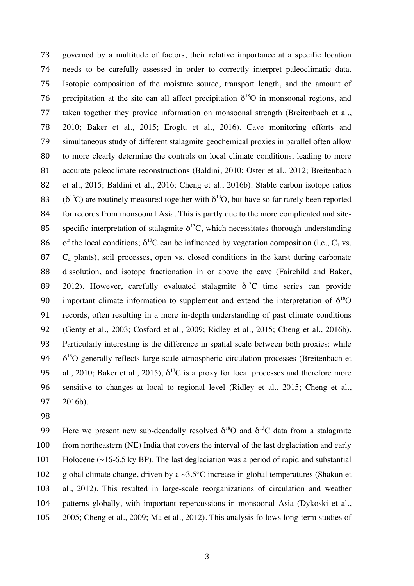governed by a multitude of factors, their relative importance at a specific location needs to be carefully assessed in order to correctly interpret paleoclimatic data. Isotopic composition of the moisture source, transport length, and the amount of 76 precipitation at the site can all affect precipitation  $\delta^{18}O$  in monsoonal regions, and taken together they provide information on monsoonal strength (Breitenbach et al., 2010; Baker et al., 2015; Eroglu et al., 2016). Cave monitoring efforts and simultaneous study of different stalagmite geochemical proxies in parallel often allow to more clearly determine the controls on local climate conditions, leading to more accurate paleoclimate reconstructions (Baldini, 2010; Oster et al., 2012; Breitenbach et al., 2015; Baldini et al., 2016; Cheng et al., 2016b). Stable carbon isotope ratios  $(δ<sup>13</sup>C)$  are routinely measured together with  $δ<sup>18</sup>O$ , but have so far rarely been reported 84 for records from monsoonal Asia. This is partly due to the more complicated and site-85 specific interpretation of stalagmite  $\delta^{13}$ C, which necessitates thorough understanding 86 of the local conditions;  $\delta^{13}$ C can be influenced by vegetation composition (i.e., C<sub>3</sub> vs. C<sub>4</sub> plants), soil processes, open vs. closed conditions in the karst during carbonate dissolution, and isotope fractionation in or above the cave (Fairchild and Baker, 2012). However, carefully evaluated stalagmite  $\delta^{13}$ C time series can provide 90 important climate information to supplement and extend the interpretation of  $\delta^{18}O$  records, often resulting in a more in-depth understanding of past climate conditions (Genty et al., 2003; Cosford et al., 2009; Ridley et al., 2015; Cheng et al., 2016b). Particularly interesting is the difference in spatial scale between both proxies: while  $94 \delta^{18}$ O generally reflects large-scale atmospheric circulation processes (Breitenbach et 95 al., 2010; Baker et al., 2015),  $\delta^{13}$ C is a proxy for local processes and therefore more sensitive to changes at local to regional level (Ridley et al., 2015; Cheng et al., 2016b).

99 Here we present new sub-decadally resolved  $\delta^{18}O$  and  $\delta^{13}C$  data from a stalagmite 100 from northeastern (NE) India that covers the interval of the last deglaciation and early Holocene (~16-6.5 ky BP). The last deglaciation was a period of rapid and substantial 102 global climate change, driven by a  $\sim$ 3.5°C increase in global temperatures (Shakun et al., 2012). This resulted in large-scale reorganizations of circulation and weather patterns globally, with important repercussions in monsoonal Asia (Dykoski et al., 2005; Cheng et al., 2009; Ma et al., 2012). This analysis follows long-term studies of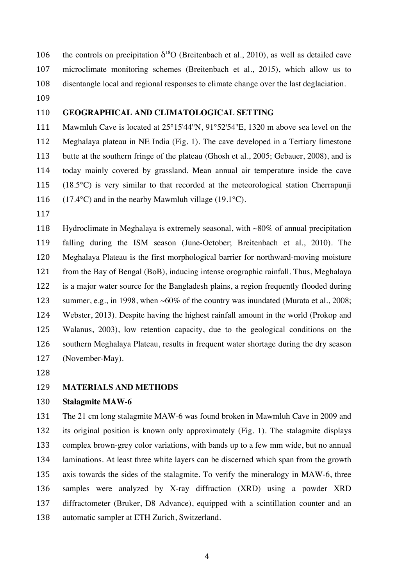106 the controls on precipitation  $\delta^{18}O$  (Breitenbach et al., 2010), as well as detailed cave microclimate monitoring schemes (Breitenbach et al., 2015), which allow us to disentangle local and regional responses to climate change over the last deglaciation.

# **GEOGRAPHICAL AND CLIMATOLOGICAL SETTING**

 Mawmluh Cave is located at 25°15'44''N, 91°52'54''E, 1320 m above sea level on the Meghalaya plateau in NE India (Fig. 1). The cave developed in a Tertiary limestone butte at the southern fringe of the plateau (Ghosh et al., 2005; Gebauer, 2008), and is today mainly covered by grassland. Mean annual air temperature inside the cave (18.5°C) is very similar to that recorded at the meteorological station Cherrapunji  $(17.4^{\circ} \text{C})$  and in the nearby Mawmluh village (19.1 $^{\circ}$ C).

 Hydroclimate in Meghalaya is extremely seasonal, with ~80% of annual precipitation falling during the ISM season (June-October; Breitenbach et al., 2010). The Meghalaya Plateau is the first morphological barrier for northward-moving moisture from the Bay of Bengal (BoB), inducing intense orographic rainfall. Thus, Meghalaya is a major water source for the Bangladesh plains, a region frequently flooded during 123 summer, e.g., in 1998, when ~60% of the country was inundated (Murata et al., 2008; Webster, 2013). Despite having the highest rainfall amount in the world (Prokop and Walanus, 2003), low retention capacity, due to the geological conditions on the southern Meghalaya Plateau, results in frequent water shortage during the dry season (November-May).

# **MATERIALS AND METHODS**

### **Stalagmite MAW-6**

 The 21 cm long stalagmite MAW-6 was found broken in Mawmluh Cave in 2009 and its original position is known only approximately (Fig. 1). The stalagmite displays complex brown-grey color variations, with bands up to a few mm wide, but no annual laminations. At least three white layers can be discerned which span from the growth axis towards the sides of the stalagmite. To verify the mineralogy in MAW-6, three samples were analyzed by X-ray diffraction (XRD) using a powder XRD diffractometer (Bruker, D8 Advance), equipped with a scintillation counter and an automatic sampler at ETH Zurich, Switzerland.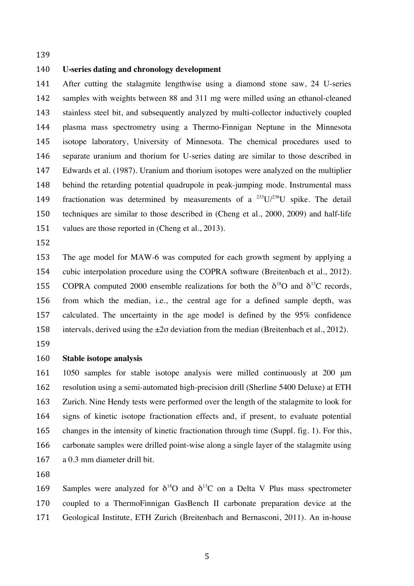# **U-series dating and chronology development**

 After cutting the stalagmite lengthwise using a diamond stone saw, 24 U-series samples with weights between 88 and 311 mg were milled using an ethanol-cleaned stainless steel bit, and subsequently analyzed by multi-collector inductively coupled plasma mass spectrometry using a Thermo-Finnigan Neptune in the Minnesota isotope laboratory, University of Minnesota. The chemical procedures used to separate uranium and thorium for U-series dating are similar to those described in Edwards et al. (1987). Uranium and thorium isotopes were analyzed on the multiplier behind the retarding potential quadrupole in peak-jumping mode. Instrumental mass 149 fractionation was determined by measurements of a  $^{233}U^{236}U$  spike. The detail techniques are similar to those described in (Cheng et al., 2000, 2009) and half-life 151 values are those reported in (Cheng et al., 2013).

 The age model for MAW-6 was computed for each growth segment by applying a cubic interpolation procedure using the COPRA software (Breitenbach et al., 2012). 155 COPRA computed 2000 ensemble realizations for both the  $\delta^{18}$ O and  $\delta^{13}$ C records. from which the median, i.e., the central age for a defined sample depth, was calculated. The uncertainty in the age model is defined by the 95% confidence 158 intervals, derived using the  $\pm 2\sigma$  deviation from the median (Breitenbach et al., 2012).

## **Stable isotope analysis**

 1050 samples for stable isotope analysis were milled continuously at 200 μm resolution using a semi-automated high-precision drill (Sherline 5400 Deluxe) at ETH Zurich. Nine Hendy tests were performed over the length of the stalagmite to look for signs of kinetic isotope fractionation effects and, if present, to evaluate potential changes in the intensity of kinetic fractionation through time (Suppl. fig. 1). For this, carbonate samples were drilled point-wise along a single layer of the stalagmite using a 0.3 mm diameter drill bit.

169 Samples were analyzed for  $\delta^{18}O$  and  $\delta^{13}C$  on a Delta V Plus mass spectrometer coupled to a ThermoFinnigan GasBench II carbonate preparation device at the Geological Institute, ETH Zurich (Breitenbach and Bernasconi, 2011). An in-house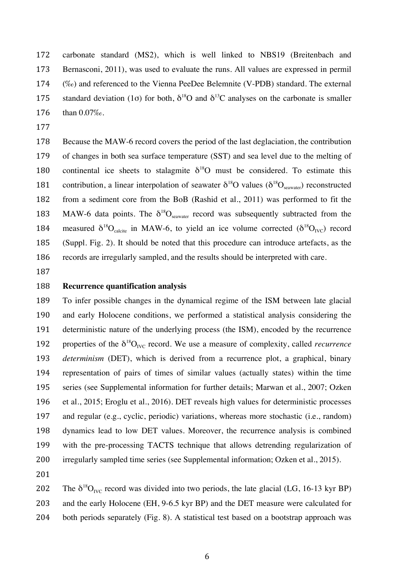carbonate standard (MS2), which is well linked to NBS19 (Breitenbach and Bernasconi, 2011), was used to evaluate the runs. All values are expressed in permil (‰) and referenced to the Vienna PeeDee Belemnite (V-PDB) standard. The external 175 standard deviation (1 $\sigma$ ) for both,  $\delta^{18}$ O and  $\delta^{13}$ C analyses on the carbonate is smaller than 0.07‰.

 Because the MAW-6 record covers the period of the last deglaciation, the contribution of changes in both sea surface temperature (SST) and sea level due to the melting of 180 continental ice sheets to stalagmite  $\delta^{18}$ O must be considered. To estimate this 181 contribution, a linear interpolation of seawater  $\delta^{18}O$  values ( $\delta^{18}O_{\text{seawater}}$ ) reconstructed from a sediment core from the BoB (Rashid et al., 2011) was performed to fit the 183 MAW-6 data points. The  $\delta^{18}O_{\text{seawater}}$  record was subsequently subtracted from the 184 measured  $\delta^{18}O_{\text{calcite}}$  in MAW-6, to yield an ice volume corrected  $(\delta^{18}O_{\text{IVC}})$  record (Suppl. Fig. 2). It should be noted that this procedure can introduce artefacts, as the records are irregularly sampled, and the results should be interpreted with care.

#### **Recurrence quantification analysis**

 To infer possible changes in the dynamical regime of the ISM between late glacial and early Holocene conditions, we performed a statistical analysis considering the deterministic nature of the underlying process (the ISM), encoded by the recurrence 192 properties of the  $\delta^{18}O_{\text{IVC}}$  record. We use a measure of complexity, called *recurrence determinism* (DET), which is derived from a recurrence plot, a graphical, binary representation of pairs of times of similar values (actually states) within the time series (see Supplemental information for further details; Marwan et al., 2007; Ozken et al., 2015; Eroglu et al., 2016). DET reveals high values for deterministic processes and regular (e.g., cyclic, periodic) variations, whereas more stochastic (i.e., random) dynamics lead to low DET values. Moreover, the recurrence analysis is combined with the pre-processing TACTS technique that allows detrending regularization of irregularly sampled time series (see Supplemental information; Ozken et al., 2015).

202 The  $\delta^{18}O_{\text{IVC}}$  record was divided into two periods, the late glacial (LG, 16-13 kyr BP) and the early Holocene (EH, 9-6.5 kyr BP) and the DET measure were calculated for both periods separately (Fig. 8). A statistical test based on a bootstrap approach was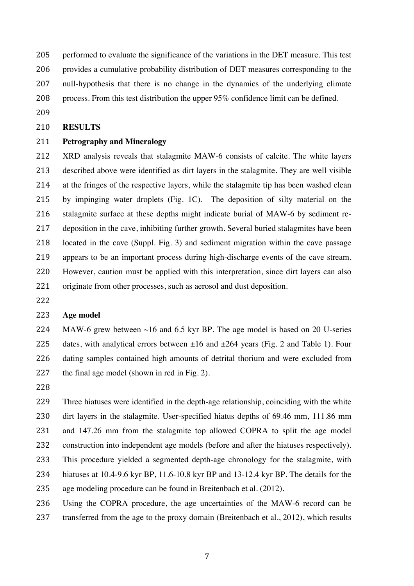performed to evaluate the significance of the variations in the DET measure. This test provides a cumulative probability distribution of DET measures corresponding to the null-hypothesis that there is no change in the dynamics of the underlying climate

- process. From this test distribution the upper 95% confidence limit can be defined.
- 

# **RESULTS**

# **Petrography and Mineralogy**

 XRD analysis reveals that stalagmite MAW-6 consists of calcite. The white layers described above were identified as dirt layers in the stalagmite. They are well visible at the fringes of the respective layers, while the stalagmite tip has been washed clean by impinging water droplets (Fig. 1C). The deposition of silty material on the stalagmite surface at these depths might indicate burial of MAW-6 by sediment re- deposition in the cave, inhibiting further growth. Several buried stalagmites have been located in the cave (Suppl. Fig. 3) and sediment migration within the cave passage appears to be an important process during high-discharge events of the cave stream. However, caution must be applied with this interpretation, since dirt layers can also 221 originate from other processes, such as aerosol and dust deposition.

# **Age model**

224 MAW-6 grew between  $\sim$ 16 and 6.5 kyr BP. The age model is based on 20 U-series 225 dates, with analytical errors between  $\pm 16$  and  $\pm 264$  years (Fig. 2 and Table 1). Four dating samples contained high amounts of detrital thorium and were excluded from the final age model (shown in red in Fig. 2).

 Three hiatuses were identified in the depth-age relationship, coinciding with the white dirt layers in the stalagmite. User-specified hiatus depths of 69.46 mm, 111.86 mm and 147.26 mm from the stalagmite top allowed COPRA to split the age model construction into independent age models (before and after the hiatuses respectively). This procedure yielded a segmented depth-age chronology for the stalagmite, with hiatuses at 10.4-9.6 kyr BP, 11.6-10.8 kyr BP and 13-12.4 kyr BP. The details for the age modeling procedure can be found in Breitenbach et al. (2012).

 Using the COPRA procedure, the age uncertainties of the MAW-6 record can be 237 transferred from the age to the proxy domain (Breitenbach et al., 2012), which results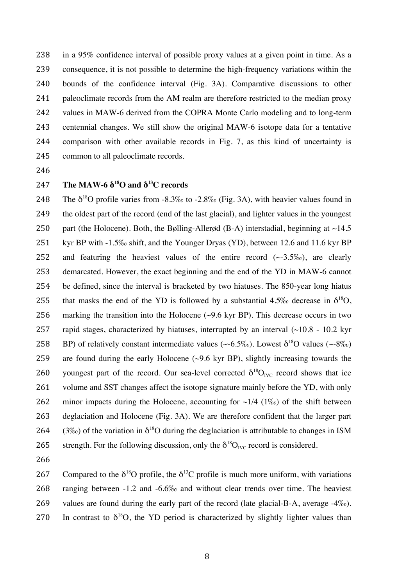in a 95% confidence interval of possible proxy values at a given point in time. As a consequence, it is not possible to determine the high-frequency variations within the bounds of the confidence interval (Fig. 3A). Comparative discussions to other 241 paleoclimate records from the AM realm are therefore restricted to the median proxy values in MAW-6 derived from the COPRA Monte Carlo modeling and to long-term centennial changes. We still show the original MAW-6 isotope data for a tentative comparison with other available records in Fig. 7, as this kind of uncertainty is common to all paleoclimate records.

- 246
- 247 **The MAW-6**  $\delta^{18}$ **O** and  $\delta^{13}$ C records

248 The  $\delta^{18}$ O profile varies from -8.3‰ to -2.8‰ (Fig. 3A), with heavier values found in 249 the oldest part of the record (end of the last glacial), and lighter values in the youngest 250 part (the Holocene). Both, the Bølling-Allerød (B-A) interstadial, beginning at  $\sim$ 14.5 251 kyr BP with -1.5‰ shift, and the Younger Dryas (YD), between 12.6 and 11.6 kyr BP 252 and featuring the heaviest values of the entire record  $(\sim 3.5\%)$ , are clearly 253 demarcated. However, the exact beginning and the end of the YD in MAW-6 cannot 254 be defined, since the interval is bracketed by two hiatuses. The 850-year long hiatus 255 that masks the end of the YD is followed by a substantial 4.5‰ decrease in  $\delta^{18}O$ , 256 marking the transition into the Holocene  $(\sim)9.6$  kyr BP). This decrease occurs in two 257 rapid stages, characterized by hiatuses, interrupted by an interval  $(\sim 10.8 - 10.2 \text{ kyr})$ 258 BP) of relatively constant intermediate values (~-6.5‰). Lowest  $\delta^{18}O$  values (~-8‰) 259 are found during the early Holocene  $(\sim 9.6 \text{ kyr BP})$ , slightly increasing towards the 260 voungest part of the record. Our sea-level corrected  $\delta^{18}O_{\text{IVC}}$  record shows that ice 261 volume and SST changes affect the isotope signature mainly before the YD, with only 262 minor impacts during the Holocene, accounting for  $\sim$ 1/4 (1‰) of the shift between 263 deglaciation and Holocene (Fig. 3A). We are therefore confident that the larger part 264 (3‰) of the variation in  $\delta^{18}$ O during the deglaciation is attributable to changes in ISM 265 strength. For the following discussion, only the  $\delta^{18}O_{\text{IVC}}$  record is considered.

266

267 Compared to the  $\delta^{18}$ O profile, the  $\delta^{13}$ C profile is much more uniform, with variations 268 ranging between -1.2 and -6.6‰ and without clear trends over time. The heaviest 269 values are found during the early part of the record (late glacial-B-A, average -4‰). 270 In contrast to  $\delta^{18}O$ , the YD period is characterized by slightly lighter values than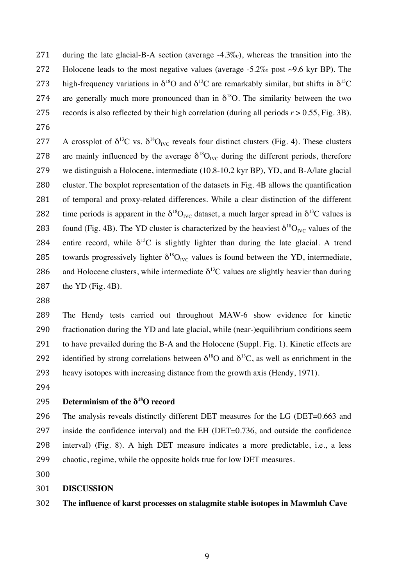during the late glacial-B-A section (average -4.3‰), whereas the transition into the 272 Holocene leads to the most negative values (average  $-5.2\%$  post  $\sim$ 9.6 kyr BP). The 273 high-frequency variations in  $\delta^{18}O$  and  $\delta^{13}C$  are remarkably similar, but shifts in  $\delta^{13}C$ 274 are generally much more pronounced than in  $\delta^{18}O$ . The similarity between the two 275 records is also reflected by their high correlation (during all periods  $r > 0.55$ , Fig. 3B).

277 A crossplot of  $\delta^{13}C$  vs.  $\delta^{18}O_{\text{IVC}}$  reveals four distinct clusters (Fig. 4). These clusters 278 are mainly influenced by the average  $\delta^{18}O_{\text{IVC}}$  during the different periods, therefore we distinguish a Holocene, intermediate (10.8-10.2 kyr BP), YD, and B-A/late glacial cluster. The boxplot representation of the datasets in Fig. 4B allows the quantification of temporal and proxy-related differences. While a clear distinction of the different 282 time periods is apparent in the  $\delta^{18}O_{\text{IVC}}$  dataset, a much larger spread in  $\delta^{13}C$  values is 283 found (Fig. 4B). The YD cluster is characterized by the heaviest  $\delta^{18}O_{\text{IVC}}$  values of the 284 entire record, while  $\delta^{13}$ C is slightly lighter than during the late glacial. A trend 285 towards progressively lighter  $\delta^{18}O_{\text{IVC}}$  values is found between the YD, intermediate, 286 and Holocene clusters, while intermediate  $\delta^{13}$ C values are slightly heavier than during the YD (Fig. 4B).

 The Hendy tests carried out throughout MAW-6 show evidence for kinetic fractionation during the YD and late glacial, while (near-)equilibrium conditions seem to have prevailed during the B-A and the Holocene (Suppl. Fig. 1). Kinetic effects are 292 identified by strong correlations between  $\delta^{18}$ O and  $\delta^{13}$ C, as well as enrichment in the heavy isotopes with increasing distance from the growth axis (Hendy, 1971).

# **Determinism of the δ<sup>18</sup> O record**

 The analysis reveals distinctly different DET measures for the LG (DET=0.663 and inside the confidence interval) and the EH (DET=0.736, and outside the confidence interval) (Fig. 8). A high DET measure indicates a more predictable, i.e., a less chaotic, regime, while the opposite holds true for low DET measures.

#### **DISCUSSION**

# **The influence of karst processes on stalagmite stable isotopes in Mawmluh Cave**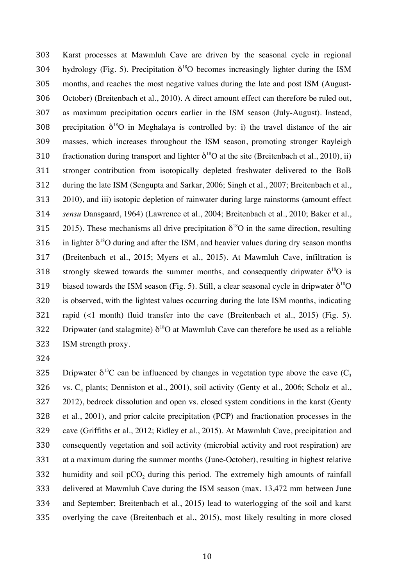Karst processes at Mawmluh Cave are driven by the seasonal cycle in regional 304 hydrology (Fig. 5). Precipitation  $\delta^{18}O$  becomes increasingly lighter during the ISM months, and reaches the most negative values during the late and post ISM (August- October) (Breitenbach et al., 2010). A direct amount effect can therefore be ruled out, as maximum precipitation occurs earlier in the ISM season (July-August). Instead, 308 orecipitation  $\delta^{18}$ O in Meghalaya is controlled by: i) the travel distance of the air masses, which increases throughout the ISM season, promoting stronger Rayleigh 310 fractionation during transport and lighter  $\delta^{18}$ O at the site (Breitenbach et al., 2010), ii) stronger contribution from isotopically depleted freshwater delivered to the BoB during the late ISM (Sengupta and Sarkar, 2006; Singh et al., 2007; Breitenbach et al., 2010), and iii) isotopic depletion of rainwater during large rainstorms (amount effect *sensu* Dansgaard, 1964) (Lawrence et al., 2004; Breitenbach et al., 2010; Baker et al., 315 2015). These mechanisms all drive precipitation  $\delta^{18}O$  in the same direction, resulting 316 in lighter  $\delta^{18}$ O during and after the ISM, and heavier values during dry season months (Breitenbach et al., 2015; Myers et al., 2015). At Mawmluh Cave, infiltration is 318 strongly skewed towards the summer months, and consequently dripwater  $\delta^{18}O$  is 319 biased towards the ISM season (Fig. 5). Still, a clear seasonal cycle in dripwater  $\delta^{18}O$  is observed, with the lightest values occurring during the late ISM months, indicating rapid (<1 month) fluid transfer into the cave (Breitenbach et al., 2015) (Fig. 5). 322 Dripwater (and stalagmite)  $\delta^{18}O$  at Mawmluh Cave can therefore be used as a reliable ISM strength proxy.

325 Dripwater  $\delta^{13}C$  can be influenced by changes in vegetation type above the cave  $(C_3)$ 326 vs.  $C_4$  plants; Denniston et al., 2001), soil activity (Genty et al., 2006; Scholz et al., 2012), bedrock dissolution and open vs. closed system conditions in the karst (Genty et al., 2001), and prior calcite precipitation (PCP) and fractionation processes in the cave (Griffiths et al., 2012; Ridley et al., 2015). At Mawmluh Cave, precipitation and consequently vegetation and soil activity (microbial activity and root respiration) are at a maximum during the summer months (June-October), resulting in highest relative humidity and soil pCO<sub>2</sub> during this period. The extremely high amounts of rainfall delivered at Mawmluh Cave during the ISM season (max. 13,472 mm between June and September; Breitenbach et al., 2015) lead to waterlogging of the soil and karst overlying the cave (Breitenbach et al., 2015), most likely resulting in more closed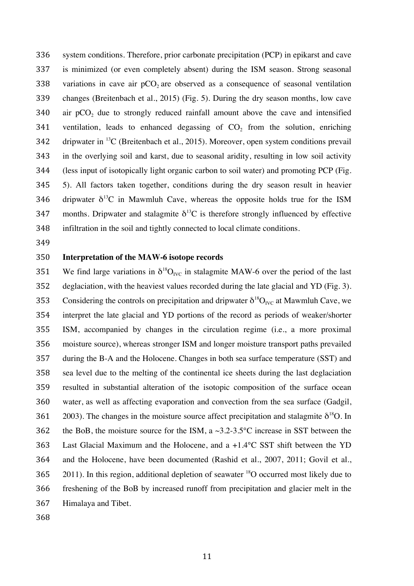system conditions. Therefore, prior carbonate precipitation (PCP) in epikarst and cave is minimized (or even completely absent) during the ISM season. Strong seasonal 338 variations in cave air  $pCO<sub>2</sub>$  are observed as a consequence of seasonal ventilation changes (Breitenbach et al., 2015) (Fig. 5). During the dry season months, low cave air pCO<sub>2</sub> due to strongly reduced rainfall amount above the cave and intensified 341 ventilation, leads to enhanced degassing of  $CO<sub>2</sub>$  from the solution, enriching 342 dripwater in  ${}^{13}C$  (Breitenbach et al., 2015). Moreover, open system conditions prevail in the overlying soil and karst, due to seasonal aridity, resulting in low soil activity (less input of isotopically light organic carbon to soil water) and promoting PCP (Fig. 5). All factors taken together, conditions during the dry season result in heavier 346 dripwater  $\delta^{13}$ C in Mawmluh Cave, whereas the opposite holds true for the ISM 347 months. Dripwater and stalagmite  $\delta^{13}$ C is therefore strongly influenced by effective infiltration in the soil and tightly connected to local climate conditions.

#### **Interpretation of the MAW-6 isotope records**

351 We find large variations in  $\delta^{18}O_{\text{IVC}}$  in stalagmite MAW-6 over the period of the last deglaciation, with the heaviest values recorded during the late glacial and YD (Fig. 3). 353 Considering the controls on precipitation and dripwater  $\delta^{18}O_{\text{IVC}}$  at Mawmluh Cave, we interpret the late glacial and YD portions of the record as periods of weaker/shorter ISM, accompanied by changes in the circulation regime (i.e., a more proximal moisture source), whereas stronger ISM and longer moisture transport paths prevailed during the B-A and the Holocene. Changes in both sea surface temperature (SST) and sea level due to the melting of the continental ice sheets during the last deglaciation resulted in substantial alteration of the isotopic composition of the surface ocean water, as well as affecting evaporation and convection from the sea surface (Gadgil, 2003). The changes in the moisture source affect precipitation and stalagmite  $\delta^{18}O$ . In 362 the BoB, the moisture source for the ISM, a  $\sim$ 3.2-3.5°C increase in SST between the Last Glacial Maximum and the Holocene, and a +1.4°C SST shift between the YD and the Holocene, have been documented (Rashid et al., 2007, 2011; Govil et al., ). In this region, additional depletion of seawater <sup>18</sup>O occurred most likely due to freshening of the BoB by increased runoff from precipitation and glacier melt in the Himalaya and Tibet.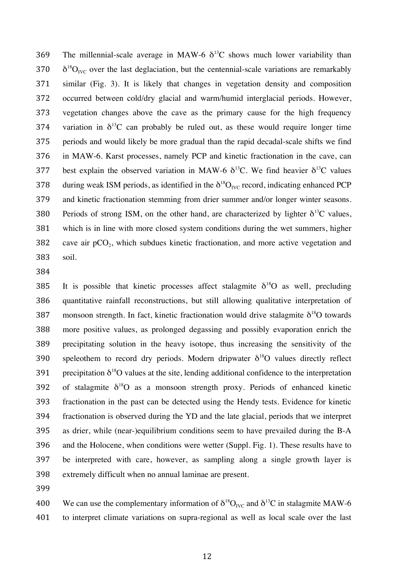369 The millennial-scale average in MAW-6  $\delta^{13}$ C shows much lower variability than  $370 \delta^{18}O_{\text{IVC}}$  over the last deglaciation, but the centennial-scale variations are remarkably similar (Fig. 3). It is likely that changes in vegetation density and composition occurred between cold/dry glacial and warm/humid interglacial periods. However, vegetation changes above the cave as the primary cause for the high frequency 374 variation in  $\delta^{13}C$  can probably be ruled out, as these would require longer time periods and would likely be more gradual than the rapid decadal-scale shifts we find in MAW-6. Karst processes, namely PCP and kinetic fractionation in the cave, can 377 best explain the observed variation in MAW-6  $\delta^{13}$ C. We find heavier  $\delta^{13}$ C values 378 during weak ISM periods, as identified in the  $\delta^{18}O_{\text{IVC}}$  record, indicating enhanced PCP and kinetic fractionation stemming from drier summer and/or longer winter seasons. 380 Periods of strong ISM, on the other hand, are characterized by lighter  $\delta^{13}C$  values, which is in line with more closed system conditions during the wet summers, higher 382 cave air  $pCO<sub>2</sub>$ , which subdues kinetic fractionation, and more active vegetation and soil.

385 It is possible that kinetic processes affect stalagmite  $\delta^{18}O$  as well, precluding quantitative rainfall reconstructions, but still allowing qualitative interpretation of 387 monsoon strength. In fact, kinetic fractionation would drive stalagmite  $\delta^{18}O$  towards more positive values, as prolonged degassing and possibly evaporation enrich the precipitating solution in the heavy isotope, thus increasing the sensitivity of the 390 speleothem to record dry periods. Modern dripwater  $\delta^{18}$ O values directly reflect 391 precipitation  $\delta^{18}O$  values at the site, lending additional confidence to the interpretation 392 of stalagmite  $\delta^{18}$ O as a monsoon strength proxy. Periods of enhanced kinetic fractionation in the past can be detected using the Hendy tests. Evidence for kinetic fractionation is observed during the YD and the late glacial, periods that we interpret as drier, while (near-)equilibrium conditions seem to have prevailed during the B-A and the Holocene, when conditions were wetter (Suppl. Fig. 1). These results have to be interpreted with care, however, as sampling along a single growth layer is extremely difficult when no annual laminae are present.

400 We can use the complementary information of  $\delta^{18}O_{\text{IVC}}$  and  $\delta^{13}C$  in stalagmite MAW-6 to interpret climate variations on supra-regional as well as local scale over the last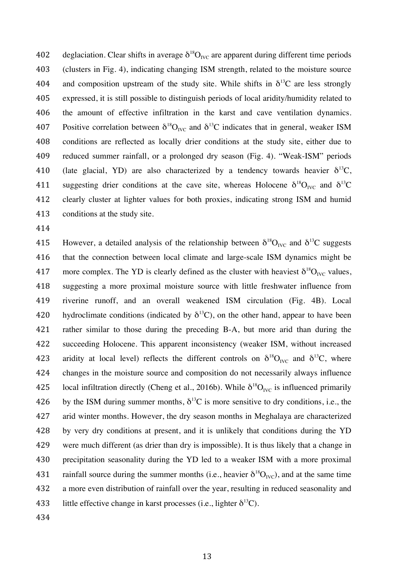402 deglaciation. Clear shifts in average  $\delta^{18}O_{\text{IVC}}$  are apparent during different time periods (clusters in Fig. 4), indicating changing ISM strength, related to the moisture source 404 and composition upstream of the study site. While shifts in  $\delta^{13}C$  are less strongly expressed, it is still possible to distinguish periods of local aridity/humidity related to the amount of effective infiltration in the karst and cave ventilation dynamics. 407 Positive correlation between  $\delta^{18}O_{\text{IVC}}$  and  $\delta^{13}C$  indicates that in general, weaker ISM conditions are reflected as locally drier conditions at the study site, either due to reduced summer rainfall, or a prolonged dry season (Fig. 4). "Weak-ISM" periods 410 (late glacial, YD) are also characterized by a tendency towards heavier  $\delta^{13}C$ , 411 suggesting drier conditions at the cave site, whereas Holocene  $\delta^{18}O_{\text{IVC}}$  and  $\delta^{13}C$  clearly cluster at lighter values for both proxies, indicating strong ISM and humid conditions at the study site.

415 However, a detailed analysis of the relationship between  $\delta^{18}O_{\text{IVC}}$  and  $\delta^{13}C$  suggests that the connection between local climate and large-scale ISM dynamics might be 417 more complex. The YD is clearly defined as the cluster with heaviest  $\delta^{18}O_{\text{IVC}}$  values, suggesting a more proximal moisture source with little freshwater influence from riverine runoff, and an overall weakened ISM circulation (Fig. 4B). Local 420 hydroclimate conditions (indicated by  $\delta^{13}$ C), on the other hand, appear to have been rather similar to those during the preceding B-A, but more arid than during the succeeding Holocene. This apparent inconsistency (weaker ISM, without increased 423 aridity at local level) reflects the different controls on  $\delta^{18}O_{\text{IVC}}$  and  $\delta^{13}C$ , where changes in the moisture source and composition do not necessarily always influence 425 local infiltration directly (Cheng et al., 2016b). While  $\delta^{18}O_{\text{NC}}$  is influenced primarily 426 by the ISM during summer months,  $\delta^{13}$ C is more sensitive to dry conditions, i.e., the arid winter months. However, the dry season months in Meghalaya are characterized by very dry conditions at present, and it is unlikely that conditions during the YD were much different (as drier than dry is impossible). It is thus likely that a change in precipitation seasonality during the YD led to a weaker ISM with a more proximal 431 rainfall source during the summer months (i.e., heavier  $\delta^{18}O_{\text{IVC}}$ ), and at the same time a more even distribution of rainfall over the year, resulting in reduced seasonality and 433 little effective change in karst processes (i.e., lighter  $\delta^{13}$ C).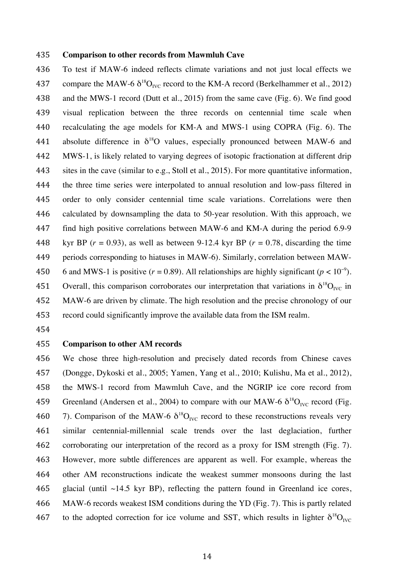#### **Comparison to other records from Mawmluh Cave**

 To test if MAW-6 indeed reflects climate variations and not just local effects we 437 compare the MAW-6  $\delta^{18}O_{\text{IVC}}$  record to the KM-A record (Berkelhammer et al., 2012) and the MWS-1 record (Dutt et al., 2015) from the same cave (Fig. 6). We find good visual replication between the three records on centennial time scale when recalculating the age models for KM-A and MWS-1 using COPRA (Fig. 6). The 441 absolute difference in  $\delta^{18}O$  values, especially pronounced between MAW-6 and MWS-1, is likely related to varying degrees of isotopic fractionation at different drip sites in the cave (similar to e.g., Stoll et al., 2015). For more quantitative information, the three time series were interpolated to annual resolution and low-pass filtered in order to only consider centennial time scale variations. Correlations were then calculated by downsampling the data to 50-year resolution. With this approach, we find high positive correlations between MAW-6 and KM-A during the period 6.9-9 448 kyr BP  $(r = 0.93)$ , as well as between 9-12.4 kyr BP  $(r = 0.78)$ , discarding the time periods corresponding to hiatuses in MAW-6). Similarly, correlation between MAW-6 and MWS-1 is positive ( $r = 0.89$ ). All relationships are highly significant ( $p < 10^{-9}$ ). 451 Overall, this comparison corroborates our interpretation that variations in  $\delta^{18}O_{\text{IVC}}$  in MAW-6 are driven by climate. The high resolution and the precise chronology of our record could significantly improve the available data from the ISM realm.

### **Comparison to other AM records**

 We chose three high-resolution and precisely dated records from Chinese caves (Dongge, Dykoski et al., 2005; Yamen, Yang et al., 2010; Kulishu, Ma et al., 2012), the MWS-1 record from Mawmluh Cave, and the NGRIP ice core record from 459 Greenland (Andersen et al., 2004) to compare with our MAW-6  $\delta^{18}O_{\text{IVC}}$  record (Fig. 460 7). Comparison of the MAW-6  $\delta^{18}O_{\text{IVC}}$  record to these reconstructions reveals very similar centennial-millennial scale trends over the last deglaciation, further corroborating our interpretation of the record as a proxy for ISM strength (Fig. 7). However, more subtle differences are apparent as well. For example, whereas the other AM reconstructions indicate the weakest summer monsoons during the last 465 glacial (until  $~14.5$  kyr BP), reflecting the pattern found in Greenland ice cores, MAW-6 records weakest ISM conditions during the YD (Fig. 7). This is partly related 467 to the adopted correction for ice volume and SST, which results in lighter  $\delta^{18}O_{\text{IVC}}$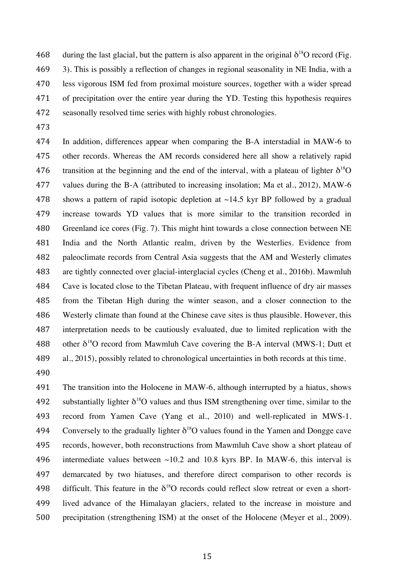468 during the last glacial, but the pattern is also apparent in the original  $\delta^{18}O$  record (Fig. 3). This is possibly a reflection of changes in regional seasonality in NE India, with a less vigorous ISM fed from proximal moisture sources, together with a wider spread of precipitation over the entire year during the YD. Testing this hypothesis requires seasonally resolved time series with highly robust chronologies.

 In addition, differences appear when comparing the B-A interstadial in MAW-6 to other records. Whereas the AM records considered here all show a relatively rapid 476 transition at the beginning and the end of the interval, with a plateau of lighter  $\delta^{18}O$  values during the B-A (attributed to increasing insolation; Ma et al., 2012), MAW-6 478 shows a pattern of rapid isotopic depletion at  $\sim$ 14.5 kyr BP followed by a gradual increase towards YD values that is more similar to the transition recorded in Greenland ice cores (Fig. 7). This might hint towards a close connection between NE India and the North Atlantic realm, driven by the Westerlies. Evidence from paleoclimate records from Central Asia suggests that the AM and Westerly climates are tightly connected over glacial-interglacial cycles (Cheng et al., 2016b). Mawmluh Cave is located close to the Tibetan Plateau, with frequent influence of dry air masses from the Tibetan High during the winter season, and a closer connection to the Westerly climate than found at the Chinese cave sites is thus plausible. However, this interpretation needs to be cautiously evaluated, due to limited replication with the 488 other  $\delta^{18}$ O record from Mawmluh Cave covering the B-A interval (MWS-1; Dutt et al., 2015), possibly related to chronological uncertainties in both records at this time.

 The transition into the Holocene in MAW-6, although interrupted by a hiatus, shows 492 substantially lighter  $\delta^{18}$ O values and thus ISM strengthening over time, similar to the record from Yamen Cave (Yang et al., 2010) and well-replicated in MWS-1. 494 Conversely to the gradually lighter  $\delta^{18}$ O values found in the Yamen and Dongge cave records, however, both reconstructions from Mawmluh Cave show a short plateau of 496 intermediate values between  $\sim$ 10.2 and 10.8 kyrs BP. In MAW-6, this interval is demarcated by two hiatuses, and therefore direct comparison to other records is 498 difficult. This feature in the  $\delta^{18}O$  records could reflect slow retreat or even a short- lived advance of the Himalayan glaciers, related to the increase in moisture and precipitation (strengthening ISM) at the onset of the Holocene (Meyer et al., 2009).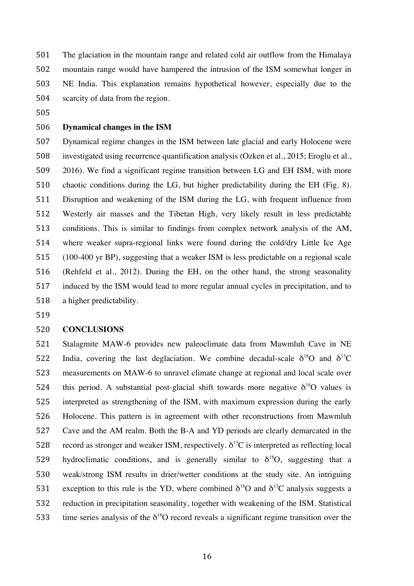The glaciation in the mountain range and related cold air outflow from the Himalaya mountain range would have hampered the intrusion of the ISM somewhat longer in NE India. This explanation remains hypothetical however, especially due to the scarcity of data from the region.

# **Dynamical changes in the ISM**

 Dynamical regime changes in the ISM between late glacial and early Holocene were investigated using recurrence quantification analysis (Ozken et al., 2015; Eroglu et al., 2016). We find a significant regime transition between LG and EH ISM, with more chaotic conditions during the LG, but higher predictability during the EH (Fig. 8). Disruption and weakening of the ISM during the LG, with frequent influence from Westerly air masses and the Tibetan High, very likely result in less predictable conditions. This is similar to findings from complex network analysis of the AM, where weaker supra-regional links were found during the cold/dry Little Ice Age (100-400 yr BP), suggesting that a weaker ISM is less predictable on a regional scale (Rehfeld et al., 2012). During the EH, on the other hand, the strong seasonality induced by the ISM would lead to more regular annual cycles in precipitation, and to a higher predictability.

### **CONCLUSIONS**

 Stalagmite MAW-6 provides new paleoclimate data from Mawmluh Cave in NE 522 India, covering the last deglaciation. We combine decadal-scale  $\delta^{18}$ O and  $\delta^{13}$ C measurements on MAW-6 to unravel climate change at regional and local scale over 524 this period. A substantial post-glacial shift towards more negative  $\delta^{18}O$  values is interpreted as strengthening of the ISM, with maximum expression during the early Holocene. This pattern is in agreement with other reconstructions from Mawmluh Cave and the AM realm. Both the B-A and YD periods are clearly demarcated in the 528 record as stronger and weaker ISM, respectively.  $\delta^{13}$ C is interpreted as reflecting local 529 hydroclimatic conditions, and is generally similar to  $\delta^{18}O$ , suggesting that a weak/strong ISM results in drier/wetter conditions at the study site. An intriguing 531 exception to this rule is the YD, where combined  $\delta^{18}$ O and  $\delta^{13}$ C analysis suggests a reduction in precipitation seasonality, together with weakening of the ISM. Statistical 533 time series analysis of the  $\delta^{18}O$  record reveals a significant regime transition over the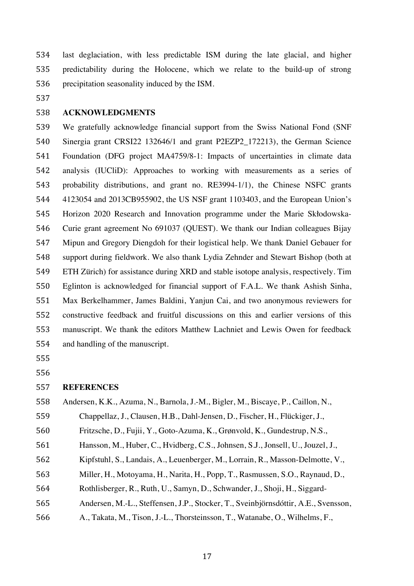last deglaciation, with less predictable ISM during the late glacial, and higher predictability during the Holocene, which we relate to the build-up of strong precipitation seasonality induced by the ISM.

## **ACKNOWLEDGMENTS**

 We gratefully acknowledge financial support from the Swiss National Fond (SNF Sinergia grant CRSI22 132646/1 and grant P2EZP2\_172213), the German Science Foundation (DFG project MA4759/8-1: Impacts of uncertainties in climate data analysis (IUCliD): Approaches to working with measurements as a series of probability distributions, and grant no. RE3994-1/1), the Chinese NSFC grants 4123054 and 2013CB955902, the US NSF grant 1103403, and the European Union's Horizon 2020 Research and Innovation programme under the Marie Skłodowska- Curie grant agreement No 691037 (QUEST). We thank our Indian colleagues Bijay Mipun and Gregory Diengdoh for their logistical help. We thank Daniel Gebauer for support during fieldwork. We also thank Lydia Zehnder and Stewart Bishop (both at ETH Zürich) for assistance during XRD and stable isotope analysis, respectively. Tim Eglinton is acknowledged for financial support of F.A.L. We thank Ashish Sinha, Max Berkelhammer, James Baldini, Yanjun Cai, and two anonymous reviewers for constructive feedback and fruitful discussions on this and earlier versions of this manuscript. We thank the editors Matthew Lachniet and Lewis Owen for feedback and handling of the manuscript.

#### **REFERENCES**

|  | 558 Andersen, K.K., Azuma, N., Barnola, J.-M., Bigler, M., Biscaye, P., Caillon, N., |  |  |  |  |  |
|--|--------------------------------------------------------------------------------------|--|--|--|--|--|
|--|--------------------------------------------------------------------------------------|--|--|--|--|--|

Chappellaz, J., Clausen, H.B., Dahl-Jensen, D., Fischer, H., Flückiger, J.,

Fritzsche, D., Fujii, Y., Goto-Azuma, K., Grønvold, K., Gundestrup, N.S.,

- Hansson, M., Huber, C., Hvidberg, C.S., Johnsen, S.J., Jonsell, U., Jouzel, J.,
- Kipfstuhl, S., Landais, A., Leuenberger, M., Lorrain, R., Masson-Delmotte, V.,
- Miller, H., Motoyama, H., Narita, H., Popp, T., Rasmussen, S.O., Raynaud, D.,
- Rothlisberger, R., Ruth, U., Samyn, D., Schwander, J., Shoji, H., Siggard-
- Andersen, M.-L., Steffensen, J.P., Stocker, T., Sveinbjörnsdóttir, A.E., Svensson,
- A., Takata, M., Tison, J.-L., Thorsteinsson, T., Watanabe, O., Wilhelms, F.,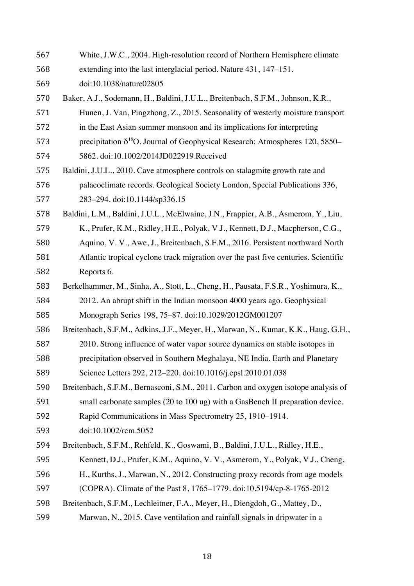| 567 | White, J.W.C., 2004. High-resolution record of Northern Hemisphere climate             |
|-----|----------------------------------------------------------------------------------------|
| 568 | extending into the last interglacial period. Nature 431, 147–151.                      |
| 569 | doi:10.1038/nature02805                                                                |
| 570 | Baker, A.J., Sodemann, H., Baldini, J.U.L., Breitenbach, S.F.M., Johnson, K.R.,        |
| 571 | Hunen, J. Van, Pingzhong, Z., 2015. Seasonality of westerly moisture transport         |
| 572 | in the East Asian summer monsoon and its implications for interpreting                 |
| 573 | precipitation $\delta^{18}O$ . Journal of Geophysical Research: Atmospheres 120, 5850– |
| 574 | 5862. doi:10.1002/2014JD022919.Received                                                |
| 575 | Baldini, J.U.L., 2010. Cave atmosphere controls on stalagmite growth rate and          |
| 576 | palaeoclimate records. Geological Society London, Special Publications 336,            |
| 577 | 283-294. doi:10.1144/sp336.15                                                          |
| 578 | Baldini, L.M., Baldini, J.U.L., McElwaine, J.N., Frappier, A.B., Asmerom, Y., Liu,     |
| 579 | K., Prufer, K.M., Ridley, H.E., Polyak, V.J., Kennett, D.J., Macpherson, C.G.,         |
| 580 | Aquino, V. V., Awe, J., Breitenbach, S.F.M., 2016. Persistent northward North          |
| 581 | Atlantic tropical cyclone track migration over the past five centuries. Scientific     |
| 582 | Reports 6.                                                                             |
| 583 | Berkelhammer, M., Sinha, A., Stott, L., Cheng, H., Pausata, F.S.R., Yoshimura, K.,     |
| 584 | 2012. An abrupt shift in the Indian monsoon 4000 years ago. Geophysical                |
| 585 | Monograph Series 198, 75-87. doi:10.1029/2012GM001207                                  |
| 586 | Breitenbach, S.F.M., Adkins, J.F., Meyer, H., Marwan, N., Kumar, K.K., Haug, G.H.,     |
| 587 | 2010. Strong influence of water vapor source dynamics on stable isotopes in            |
| 588 | precipitation observed in Southern Meghalaya, NE India. Earth and Planetary            |
| 589 | Science Letters 292, 212-220. doi:10.1016/j.epsl.2010.01.038                           |
| 590 | Breitenbach, S.F.M., Bernasconi, S.M., 2011. Carbon and oxygen isotope analysis of     |
| 591 | small carbonate samples (20 to 100 ug) with a GasBench II preparation device.          |
| 592 | Rapid Communications in Mass Spectrometry 25, 1910–1914.                               |
| 593 | doi:10.1002/rcm.5052                                                                   |
| 594 | Breitenbach, S.F.M., Rehfeld, K., Goswami, B., Baldini, J.U.L., Ridley, H.E.,          |
| 595 | Kennett, D.J., Prufer, K.M., Aquino, V.V., Asmerom, Y., Polyak, V.J., Cheng,           |
| 596 | H., Kurths, J., Marwan, N., 2012. Constructing proxy records from age models           |
| 597 | (COPRA). Climate of the Past 8, 1765–1779. doi:10.5194/cp-8-1765-2012                  |
| 598 | Breitenbach, S.F.M., Lechleitner, F.A., Meyer, H., Diengdoh, G., Mattey, D.,           |
| 599 | Marwan, N., 2015. Cave ventilation and rainfall signals in dripwater in a              |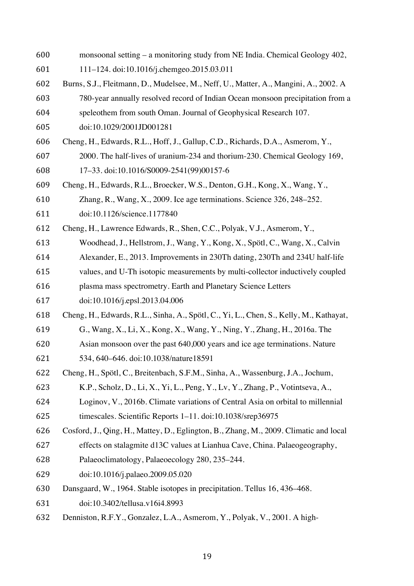- monsoonal setting a monitoring study from NE India. Chemical Geology 402,
- 111–124. doi:10.1016/j.chemgeo.2015.03.011
- Burns, S.J., Fleitmann, D., Mudelsee, M., Neff, U., Matter, A., Mangini, A., 2002. A
- 780-year annually resolved record of Indian Ocean monsoon precipitation from a
- speleothem from south Oman. Journal of Geophysical Research 107.
- doi:10.1029/2001JD001281
- Cheng, H., Edwards, R.L., Hoff, J., Gallup, C.D., Richards, D.A., Asmerom, Y.,
- 2000. The half-lives of uranium-234 and thorium-230. Chemical Geology 169, 17–33. doi:10.1016/S0009-2541(99)00157-6
- Cheng, H., Edwards, R.L., Broecker, W.S., Denton, G.H., Kong, X., Wang, Y.,
- Zhang, R., Wang, X., 2009. Ice age terminations. Science 326, 248–252.
- doi:10.1126/science.1177840
- Cheng, H., Lawrence Edwards, R., Shen, C.C., Polyak, V.J., Asmerom, Y.,
- Woodhead, J., Hellstrom, J., Wang, Y., Kong, X., Spötl, C., Wang, X., Calvin
- Alexander, E., 2013. Improvements in 230Th dating, 230Th and 234U half-life
- values, and U-Th isotopic measurements by multi-collector inductively coupled
- plasma mass spectrometry. Earth and Planetary Science Letters
- doi:10.1016/j.epsl.2013.04.006
- Cheng, H., Edwards, R.L., Sinha, A., Spötl, C., Yi, L., Chen, S., Kelly, M., Kathayat,
- G., Wang, X., Li, X., Kong, X., Wang, Y., Ning, Y., Zhang, H., 2016a. The
- Asian monsoon over the past 640,000 years and ice age terminations. Nature 534, 640–646. doi:10.1038/nature18591
- Cheng, H., Spötl, C., Breitenbach, S.F.M., Sinha, A., Wassenburg, J.A., Jochum,
- K.P., Scholz, D., Li, X., Yi, L., Peng, Y., Lv, Y., Zhang, P., Votintseva, A.,
- Loginov, V., 2016b. Climate variations of Central Asia on orbital to millennial timescales. Scientific Reports 1–11. doi:10.1038/srep36975
- Cosford, J., Qing, H., Mattey, D., Eglington, B., Zhang, M., 2009. Climatic and local
- effects on stalagmite d13C values at Lianhua Cave, China. Palaeogeography,
- Palaeoclimatology, Palaeoecology 280, 235–244.
- doi:10.1016/j.palaeo.2009.05.020
- Dansgaard, W., 1964. Stable isotopes in precipitation. Tellus 16, 436–468.
- doi:10.3402/tellusa.v16i4.8993
- Denniston, R.F.Y., Gonzalez, L.A., Asmerom, Y., Polyak, V., 2001. A high-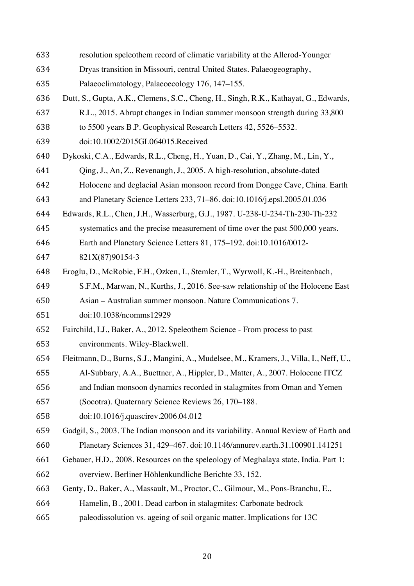- resolution speleothem record of climatic variability at the Allerod-Younger
- Dryas transition in Missouri, central United States. Palaeogeography,
- Palaeoclimatology, Palaeoecology 176, 147–155.
- Dutt, S., Gupta, A.K., Clemens, S.C., Cheng, H., Singh, R.K., Kathayat, G., Edwards,
- R.L., 2015. Abrupt changes in Indian summer monsoon strength during 33,800
- to 5500 years B.P. Geophysical Research Letters 42, 5526–5532.
- doi:10.1002/2015GL064015.Received
- Dykoski, C.A., Edwards, R.L., Cheng, H., Yuan, D., Cai, Y., Zhang, M., Lin, Y.,
- Qing, J., An, Z., Revenaugh, J., 2005. A high-resolution, absolute-dated
- Holocene and deglacial Asian monsoon record from Dongge Cave, China. Earth
- and Planetary Science Letters 233, 71–86. doi:10.1016/j.epsl.2005.01.036
- Edwards, R.L., Chen, J.H., Wasserburg, G.J., 1987. U-238-U-234-Th-230-Th-232
- systematics and the precise measurement of time over the past 500,000 years.
- Earth and Planetary Science Letters 81, 175–192. doi:10.1016/0012-
- 821X(87)90154-3
- Eroglu, D., McRobie, F.H., Ozken, I., Stemler, T., Wyrwoll, K.-H., Breitenbach,
- S.F.M., Marwan, N., Kurths, J., 2016. See-saw relationship of the Holocene East Asian – Australian summer monsoon. Nature Communications 7.
- doi:10.1038/ncomms12929
- Fairchild, I.J., Baker, A., 2012. Speleothem Science From process to past environments. Wiley-Blackwell.
- Fleitmann, D., Burns, S.J., Mangini, A., Mudelsee, M., Kramers, J., Villa, I., Neff, U.,
- Al-Subbary, A.A., Buettner, A., Hippler, D., Matter, A., 2007. Holocene ITCZ
- and Indian monsoon dynamics recorded in stalagmites from Oman and Yemen
- (Socotra). Quaternary Science Reviews 26, 170–188.
- doi:10.1016/j.quascirev.2006.04.012
- Gadgil, S., 2003. The Indian monsoon and its variability. Annual Review of Earth and Planetary Sciences 31, 429–467. doi:10.1146/annurev.earth.31.100901.141251
- Gebauer, H.D., 2008. Resources on the speleology of Meghalaya state, India. Part 1: overview. Berliner Höhlenkundliche Berichte 33, 152.
- Genty, D., Baker, A., Massault, M., Proctor, C., Gilmour, M., Pons-Branchu, E.,
- Hamelin, B., 2001. Dead carbon in stalagmites: Carbonate bedrock
- paleodissolution vs. ageing of soil organic matter. Implications for 13C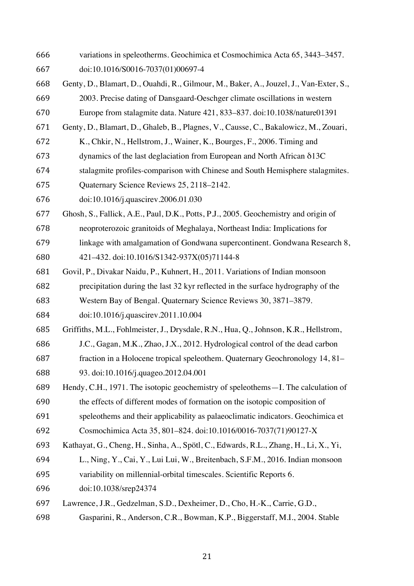variations in speleotherms. Geochimica et Cosmochimica Acta 65, 3443–3457. doi:10.1016/S0016-7037(01)00697-4 Genty, D., Blamart, D., Ouahdi, R., Gilmour, M., Baker, A., Jouzel, J., Van-Exter, S., 2003. Precise dating of Dansgaard-Oeschger climate oscillations in western Europe from stalagmite data. Nature 421, 833–837. doi:10.1038/nature01391 Genty, D., Blamart, D., Ghaleb, B., Plagnes, V., Causse, C., Bakalowicz, M., Zouari, K., Chkir, N., Hellstrom, J., Wainer, K., Bourges, F., 2006. Timing and dynamics of the last deglaciation from European and North African δ13C stalagmite profiles-comparison with Chinese and South Hemisphere stalagmites. Quaternary Science Reviews 25, 2118–2142. doi:10.1016/j.quascirev.2006.01.030 Ghosh, S., Fallick, A.E., Paul, D.K., Potts, P.J., 2005. Geochemistry and origin of neoproterozoic granitoids of Meghalaya, Northeast India: Implications for linkage with amalgamation of Gondwana supercontinent. Gondwana Research 8, 421–432. doi:10.1016/S1342-937X(05)71144-8 Govil, P., Divakar Naidu, P., Kuhnert, H., 2011. Variations of Indian monsoon precipitation during the last 32 kyr reflected in the surface hydrography of the Western Bay of Bengal. Quaternary Science Reviews 30, 3871–3879. doi:10.1016/j.quascirev.2011.10.004 Griffiths, M.L., Fohlmeister, J., Drysdale, R.N., Hua, Q., Johnson, K.R., Hellstrom, J.C., Gagan, M.K., Zhao, J.X., 2012. Hydrological control of the dead carbon fraction in a Holocene tropical speleothem. Quaternary Geochronology 14, 81– 93. doi:10.1016/j.quageo.2012.04.001 Hendy, C.H., 1971. The isotopic geochemistry of speleothems—I. The calculation of the effects of different modes of formation on the isotopic composition of speleothems and their applicability as palaeoclimatic indicators. Geochimica et Cosmochimica Acta 35, 801–824. doi:10.1016/0016-7037(71)90127-X Kathayat, G., Cheng, H., Sinha, A., Spötl, C., Edwards, R.L., Zhang, H., Li, X., Yi, L., Ning, Y., Cai, Y., Lui Lui, W., Breitenbach, S.F.M., 2016. Indian monsoon variability on millennial-orbital timescales. Scientific Reports 6. doi:10.1038/srep24374 Lawrence, J.R., Gedzelman, S.D., Dexheimer, D., Cho, H.-K., Carrie, G.D., Gasparini, R., Anderson, C.R., Bowman, K.P., Biggerstaff, M.I., 2004. Stable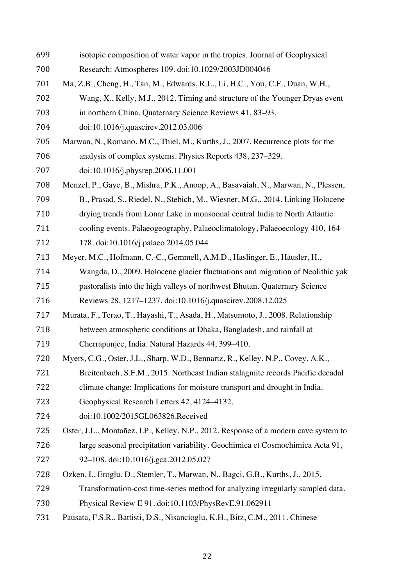isotopic composition of water vapor in the tropics. Journal of Geophysical Research: Atmospheres 109. doi:10.1029/2003JD004046 Ma, Z.B., Cheng, H., Tan, M., Edwards, R.L., Li, H.C., You, C.F., Duan, W.H., Wang, X., Kelly, M.J., 2012. Timing and structure of the Younger Dryas event in northern China. Quaternary Science Reviews 41, 83–93. doi:10.1016/j.quascirev.2012.03.006 Marwan, N., Romano, M.C., Thiel, M., Kurths, J., 2007. Recurrence plots for the analysis of complex systems. Physics Reports 438, 237–329. doi:10.1016/j.physrep.2006.11.001 Menzel, P., Gaye, B., Mishra, P.K., Anoop, A., Basavaiah, N., Marwan, N., Plessen, B., Prasad, S., Riedel, N., Stebich, M., Wiesner, M.G., 2014. Linking Holocene drying trends from Lonar Lake in monsoonal central India to North Atlantic cooling events. Palaeogeography, Palaeoclimatology, Palaeoecology 410, 164– 178. doi:10.1016/j.palaeo.2014.05.044 Meyer, M.C., Hofmann, C.-C., Gemmell, A.M.D., Haslinger, E., Häusler, H., Wangda, D., 2009. Holocene glacier fluctuations and migration of Neolithic yak pastoralists into the high valleys of northwest Bhutan. Quaternary Science Reviews 28, 1217–1237. doi:10.1016/j.quascirev.2008.12.025 Murata, F., Terao, T., Hayashi, T., Asada, H., Matsumoto, J., 2008. Relationship between atmospheric conditions at Dhaka, Bangladesh, and rainfall at Cherrapunjee, India. Natural Hazards 44, 399–410. Myers, C.G., Oster, J.L., Sharp, W.D., Bennartz, R., Kelley, N.P., Covey, A.K., Breitenbach, S.F.M., 2015. Northeast Indian stalagmite records Pacific decadal climate change: Implications for moisture transport and drought in India. Geophysical Research Letters 42, 4124–4132. doi:10.1002/2015GL063826.Received Oster, J.L., Montañez, I.P., Kelley, N.P., 2012. Response of a modern cave system to large seasonal precipitation variability. Geochimica et Cosmochimica Acta 91, 92–108. doi:10.1016/j.gca.2012.05.027 Ozken, I., Eroglu, D., Stemler, T., Marwan, N., Bagci, G.B., Kurths, J., 2015. Transformation-cost time-series method for analyzing irregularly sampled data. Physical Review E 91. doi:10.1103/PhysRevE.91.062911 Pausata, F.S.R., Battisti, D.S., Nisancioglu, K.H., Bitz, C.M., 2011. Chinese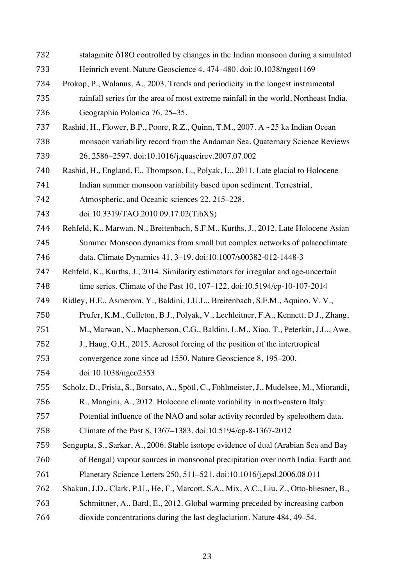stalagmite δ18O controlled by changes in the Indian monsoon during a simulated Heinrich event. Nature Geoscience 4, 474–480. doi:10.1038/ngeo1169 Prokop, P., Walanus, A., 2003. Trends and periodicity in the longest instrumental rainfall series for the area of most extreme rainfall in the world, Northeast India. Geographia Polonica 76, 25–35. Rashid, H., Flower, B.P., Poore, R.Z., Quinn, T.M., 2007. A ~25 ka Indian Ocean monsoon variability record from the Andaman Sea. Quaternary Science Reviews 26, 2586–2597. doi:10.1016/j.quascirev.2007.07.002 Rashid, H., England, E., Thompson, L., Polyak, L., 2011. Late glacial to Holocene Indian summer monsoon variability based upon sediment. Terrestrial, Atmospheric, and Oceanic sciences 22, 215–228. doi:10.3319/TAO.2010.09.17.02(TibXS) Rehfeld, K., Marwan, N., Breitenbach, S.F.M., Kurths, J., 2012. Late Holocene Asian Summer Monsoon dynamics from small but complex networks of palaeoclimate data. Climate Dynamics 41, 3–19. doi:10.1007/s00382-012-1448-3 Rehfeld, K., Kurths, J., 2014. Similarity estimators for irregular and age-uncertain time series. Climate of the Past 10, 107–122. doi:10.5194/cp-10-107-2014 Ridley, H.E., Asmerom, Y., Baldini, J.U.L., Breitenbach, S.F.M., Aquino, V. V., Prufer, K.M., Culleton, B.J., Polyak, V., Lechleitner, F.A., Kennett, D.J., Zhang, M., Marwan, N., Macpherson, C.G., Baldini, L.M., Xiao, T., Peterkin, J.L., Awe, J., Haug, G.H., 2015. Aerosol forcing of the position of the intertropical convergence zone since ad 1550. Nature Geoscience 8, 195–200. doi:10.1038/ngeo2353 Scholz, D., Frisia, S., Borsato, A., Spötl, C., Fohlmeister, J., Mudelsee, M., Miorandi, R., Mangini, A., 2012. Holocene climate variability in north-eastern Italy: Potential influence of the NAO and solar activity recorded by speleothem data. Climate of the Past 8, 1367–1383. doi:10.5194/cp-8-1367-2012 Sengupta, S., Sarkar, A., 2006. Stable isotope evidence of dual (Arabian Sea and Bay of Bengal) vapour sources in monsoonal precipitation over north India. Earth and Planetary Science Letters 250, 511–521. doi:10.1016/j.epsl.2006.08.011 Shakun, J.D., Clark, P.U., He, F., Marcott, S.A., Mix, A.C., Liu, Z., Otto-bliesner, B., Schmittner, A., Bard, E., 2012. Global warming preceded by increasing carbon dioxide concentrations during the last deglaciation. Nature 484, 49–54.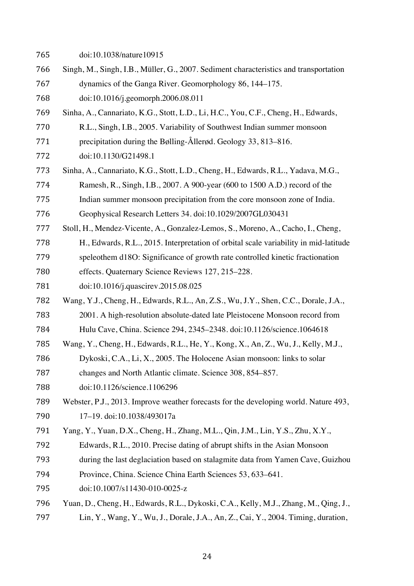| 765 | doi:10.1038/nature10915                                                               |
|-----|---------------------------------------------------------------------------------------|
| 766 | Singh, M., Singh, I.B., Müller, G., 2007. Sediment characteristics and transportation |
| 767 | dynamics of the Ganga River. Geomorphology 86, 144–175.                               |
| 768 | doi:10.1016/j.geomorph.2006.08.011                                                    |
| 769 | Sinha, A., Cannariato, K.G., Stott, L.D., Li, H.C., You, C.F., Cheng, H., Edwards,    |
| 770 | R.L., Singh, I.B., 2005. Variability of Southwest Indian summer monsoon               |
| 771 | precipitation during the Bølling-Ållerød. Geology 33, 813–816.                        |
| 772 | doi:10.1130/G21498.1                                                                  |
| 773 | Sinha, A., Cannariato, K.G., Stott, L.D., Cheng, H., Edwards, R.L., Yadava, M.G.,     |
| 774 | Ramesh, R., Singh, I.B., 2007. A 900-year (600 to 1500 A.D.) record of the            |
| 775 | Indian summer monsoon precipitation from the core monsoon zone of India.              |
| 776 | Geophysical Research Letters 34. doi:10.1029/2007GL030431                             |
| 777 | Stoll, H., Mendez-Vicente, A., Gonzalez-Lemos, S., Moreno, A., Cacho, I., Cheng,      |
| 778 | H., Edwards, R.L., 2015. Interpretation of orbital scale variability in mid-latitude  |
| 779 | speleothem d18O: Significance of growth rate controlled kinetic fractionation         |
| 780 | effects. Quaternary Science Reviews 127, 215–228.                                     |
| 781 | doi:10.1016/j.quascirev.2015.08.025                                                   |
| 782 | Wang, Y.J., Cheng, H., Edwards, R.L., An, Z.S., Wu, J.Y., Shen, C.C., Dorale, J.A.,   |
| 783 | 2001. A high-resolution absolute-dated late Pleistocene Monsoon record from           |
| 784 | Hulu Cave, China. Science 294, 2345-2348. doi:10.1126/science.1064618                 |
| 785 | Wang, Y., Cheng, H., Edwards, R.L., He, Y., Kong, X., An, Z., Wu, J., Kelly, M.J.,    |
| 786 | Dykoski, C.A., Li, X., 2005. The Holocene Asian monsoon: links to solar               |
| 787 | changes and North Atlantic climate. Science 308, 854–857.                             |
| 788 | doi:10.1126/science.1106296                                                           |
| 789 | Webster, P.J., 2013. Improve weather forecasts for the developing world. Nature 493,  |
| 790 | 17-19. doi:10.1038/493017a                                                            |
| 791 | Yang, Y., Yuan, D.X., Cheng, H., Zhang, M.L., Qin, J.M., Lin, Y.S., Zhu, X.Y.,        |
| 792 | Edwards, R.L., 2010. Precise dating of abrupt shifts in the Asian Monsoon             |
| 793 | during the last deglaciation based on stalagmite data from Yamen Cave, Guizhou        |
| 794 | Province, China. Science China Earth Sciences 53, 633–641.                            |
| 795 | doi:10.1007/s11430-010-0025-z                                                         |
| 796 | Yuan, D., Cheng, H., Edwards, R.L., Dykoski, C.A., Kelly, M.J., Zhang, M., Qing, J.,  |
| 797 | Lin, Y., Wang, Y., Wu, J., Dorale, J.A., An, Z., Cai, Y., 2004. Timing, duration,     |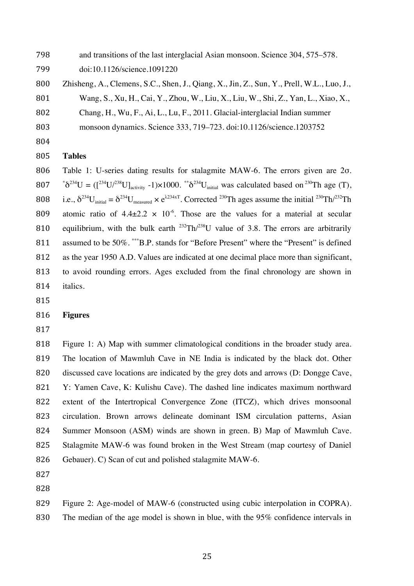and transitions of the last interglacial Asian monsoon. Science 304, 575–578.

doi:10.1126/science.1091220

Zhisheng, A., Clemens, S.C., Shen, J., Qiang, X., Jin, Z., Sun, Y., Prell, W.L., Luo, J.,

Wang, S., Xu, H., Cai, Y., Zhou, W., Liu, X., Liu, W., Shi, Z., Yan, L., Xiao, X.,

Chang, H., Wu, F., Ai, L., Lu, F., 2011. Glacial-interglacial Indian summer

monsoon dynamics. Science 333, 719–723. doi:10.1126/science.1203752

# **Tables**

 Table 1: U-series dating results for stalagmite MAW-6. The errors given are 2σ.  $807 \text{ A}^{234}U = (\text{I}^{234}U)^{238}U_{\text{activity}} -1) \times 1000.$  \*\* $\delta^{234}U_{\text{initial}}$  was calculated based on  $^{230} \text{Th}$  age (T), 808 i.e.,  $\delta^{234}U_{initial} = \delta^{234}U_{measured} \times e^{\lambda 234xT}$ . Corrected  $^{230}Th$  ages assume the initial  $^{230}Th/^{232}Th$ 809 atomic ratio of  $4.4 \pm 2.2 \times 10^{-6}$ . Those are the values for a material at secular 810 equilibrium, with the bulk earth  $^{232}Th/^{238}U$  value of 3.8. The errors are arbitrarily 811 assumed to be 50%. \*\*\*B.P. stands for "Before Present" where the "Present" is defined as the year 1950 A.D. Values are indicated at one decimal place more than significant, to avoid rounding errors. Ages excluded from the final chronology are shown in italics.

#### **Figures**

 Figure 1: A) Map with summer climatological conditions in the broader study area. The location of Mawmluh Cave in NE India is indicated by the black dot. Other 820 discussed cave locations are indicated by the grey dots and arrows (D: Dongge Cave, Y: Yamen Cave, K: Kulishu Cave). The dashed line indicates maximum northward extent of the Intertropical Convergence Zone (ITCZ), which drives monsoonal circulation. Brown arrows delineate dominant ISM circulation patterns, Asian Summer Monsoon (ASM) winds are shown in green. B) Map of Mawmluh Cave. Stalagmite MAW-6 was found broken in the West Stream (map courtesy of Daniel Gebauer). C) Scan of cut and polished stalagmite MAW-6.

Figure 2: Age-model of MAW-6 (constructed using cubic interpolation in COPRA).

The median of the age model is shown in blue, with the 95% confidence intervals in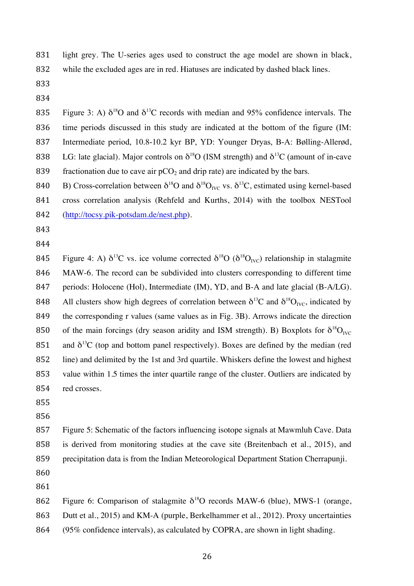light grey. The U-series ages used to construct the age model are shown in black, while the excluded ages are in red. Hiatuses are indicated by dashed black lines.

835 Figure 3: A)  $\delta^{18}$ O and  $\delta^{13}$ C records with median and 95% confidence intervals. The time periods discussed in this study are indicated at the bottom of the figure (IM: Intermediate period, 10.8-10.2 kyr BP, YD: Younger Dryas, B-A: Bølling-Allerød, 838 LG: late glacial). Major controls on  $\delta^{18}O$  (ISM strength) and  $\delta^{13}C$  (amount of in-cave 839 fractionation due to cave air  $pCO<sub>2</sub>$  and drip rate) are indicated by the bars.

840 B) Cross-correlation between  $\delta^{18}O$  and  $\delta^{18}O_{\text{IVC}}$  vs.  $\delta^{13}C$ , estimated using kernel-based cross correlation analysis (Rehfeld and Kurths, 2014) with the toolbox NESTool (http://tocsy.pik-potsdam.de/nest.php).

- 
- 

845 Figure 4: A)  $\delta^{13}$ C vs. ice volume corrected  $\delta^{18}$ O ( $\delta^{18}$ O<sub>IVC</sub>) relationship in stalagmite MAW-6. The record can be subdivided into clusters corresponding to different time 847 periods: Holocene (Hol), Intermediate (IM), YD, and B-A and late glacial (B-A/LG). 848 All clusters show high degrees of correlation between  $\delta^{13}C$  and  $\delta^{18}O_{\text{IVC}}$ , indicated by the corresponding r values (same values as in Fig. 3B). Arrows indicate the direction 850 of the main forcings (dry season aridity and ISM strength). B) Boxplots for  $\delta^{18}O_{\text{N/C}}$ 851 and  $\delta^{13}$ C (top and bottom panel respectively). Boxes are defined by the median (red line) and delimited by the 1st and 3rd quartile. Whiskers define the lowest and highest value within 1.5 times the inter quartile range of the cluster. Outliers are indicated by red crosses.

- 
- 

 Figure 5: Schematic of the factors influencing isotope signals at Mawmluh Cave. Data is derived from monitoring studies at the cave site (Breitenbach et al., 2015), and precipitation data is from the Indian Meteorological Department Station Cherrapunji.

- 
- 

862 Figure 6: Comparison of stalagmite  $\delta^{18}$ O records MAW-6 (blue), MWS-1 (orange,

Dutt et al., 2015) and KM-A (purple, Berkelhammer et al., 2012). Proxy uncertainties

(95% confidence intervals), as calculated by COPRA, are shown in light shading.